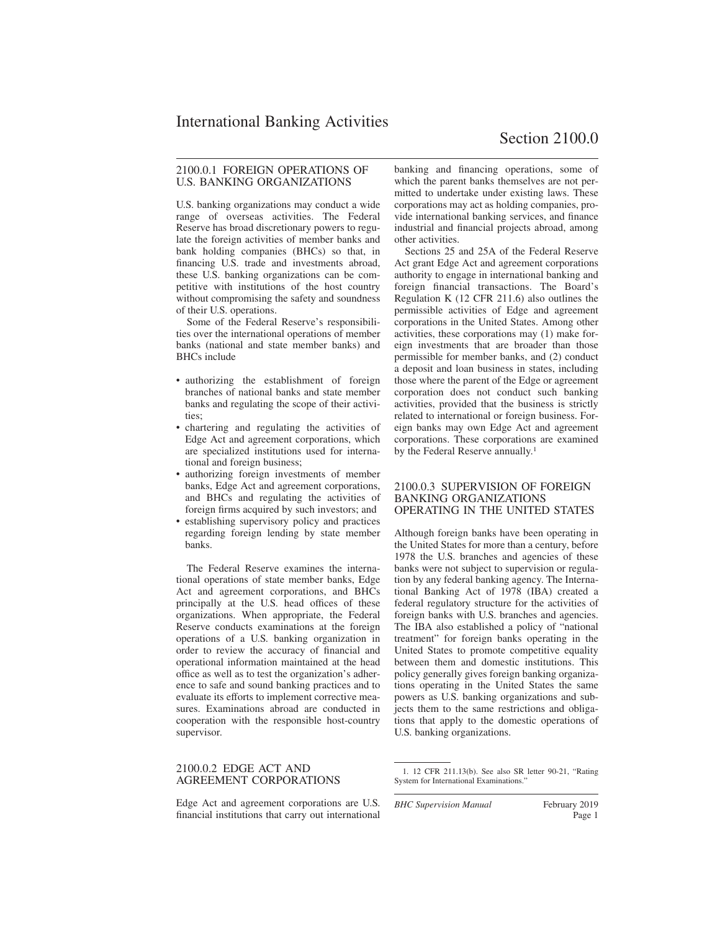### 2100.0.1 FOREIGN OPERATIONS OF U.S. BANKING ORGANIZATIONS

U.S. banking organizations may conduct a wide range of overseas activities. The Federal Reserve has broad discretionary powers to regulate the foreign activities of member banks and bank holding companies (BHCs) so that, in financing U.S. trade and investments abroad, these U.S. banking organizations can be competitive with institutions of the host country without compromising the safety and soundness of their U.S. operations.

Some of the Federal Reserve's responsibilities over the international operations of member banks (national and state member banks) and BHCs include

- authorizing the establishment of foreign branches of national banks and state member banks and regulating the scope of their activities;
- chartering and regulating the activities of Edge Act and agreement corporations, which are specialized institutions used for international and foreign business;
- authorizing foreign investments of member banks, Edge Act and agreement corporations, and BHCs and regulating the activities of foreign firms acquired by such investors; and
- establishing supervisory policy and practices regarding foreign lending by state member banks.

The Federal Reserve examines the international operations of state member banks, Edge Act and agreement corporations, and BHCs principally at the U.S. head offices of these organizations. When appropriate, the Federal Reserve conducts examinations at the foreign operations of a U.S. banking organization in order to review the accuracy of financial and operational information maintained at the head office as well as to test the organization's adherence to safe and sound banking practices and to evaluate its efforts to implement corrective measures. Examinations abroad are conducted in cooperation with the responsible host-country supervisor.

#### 2100.0.2 EDGE ACT AND AGREEMENT CORPORATIONS

Edge Act and agreement corporations are U.S. financial institutions that carry out international banking and financing operations, some of which the parent banks themselves are not permitted to undertake under existing laws. These corporations may act as holding companies, provide international banking services, and finance industrial and financial projects abroad, among other activities.

Sections 25 and 25A of the Federal Reserve Act grant Edge Act and agreement corporations authority to engage in international banking and foreign financial transactions. The Board's Regulation K (12 CFR 211.6) also outlines the permissible activities of Edge and agreement corporations in the United States. Among other activities, these corporations may (1) make foreign investments that are broader than those permissible for member banks, and (2) conduct a deposit and loan business in states, including those where the parent of the Edge or agreement corporation does not conduct such banking activities, provided that the business is strictly related to international or foreign business. Foreign banks may own Edge Act and agreement corporations. These corporations are examined by the Federal Reserve annually.<sup>1</sup>

#### 2100.0.3 SUPERVISION OF FOREIGN BANKING ORGANIZATIONS OPERATING IN THE UNITED STATES

Although foreign banks have been operating in the United States for more than a century, before 1978 the U.S. branches and agencies of these banks were not subject to supervision or regulation by any federal banking agency. The International Banking Act of 1978 (IBA) created a federal regulatory structure for the activities of foreign banks with U.S. branches and agencies. The IBA also established a policy of "national treatment" for foreign banks operating in the United States to promote competitive equality between them and domestic institutions. This policy generally gives foreign banking organizations operating in the United States the same powers as U.S. banking organizations and subjects them to the same restrictions and obligations that apply to the domestic operations of U.S. banking organizations.

*BHC Supervision Manual* February 2019

<sup>1. 12</sup> CFR 211.13(b). See also SR letter 90-21, "Rating System for International Examinations."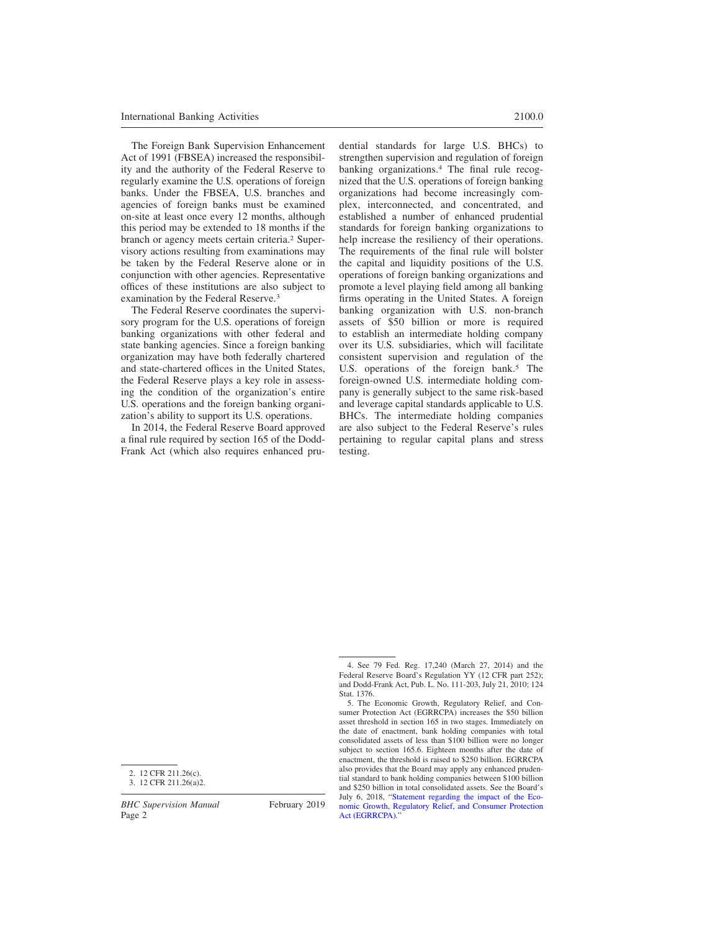The Foreign Bank Supervision Enhancement Act of 1991 (FBSEA) increased the responsibility and the authority of the Federal Reserve to regularly examine the U.S. operations of foreign banks. Under the FBSEA, U.S. branches and agencies of foreign banks must be examined on-site at least once every 12 months, although this period may be extended to 18 months if the branch or agency meets certain criteria.<sup>2</sup> Supervisory actions resulting from examinations may be taken by the Federal Reserve alone or in conjunction with other agencies. Representative offices of these institutions are also subject to examination by the Federal Reserve.<sup>3</sup>

The Federal Reserve coordinates the supervisory program for the U.S. operations of foreign banking organizations with other federal and state banking agencies. Since a foreign banking organization may have both federally chartered and state-chartered offices in the United States, the Federal Reserve plays a key role in assessing the condition of the organization's entire U.S. operations and the foreign banking organization's ability to support its U.S. operations.

In 2014, the Federal Reserve Board approved a final rule required by section 165 of the Dodd-Frank Act (which also requires enhanced prudential standards for large U.S. BHCs) to strengthen supervision and regulation of foreign banking organizations.<sup>4</sup> The final rule recognized that the U.S. operations of foreign banking organizations had become increasingly complex, interconnected, and concentrated, and established a number of enhanced prudential standards for foreign banking organizations to help increase the resiliency of their operations. The requirements of the final rule will bolster the capital and liquidity positions of the U.S. operations of foreign banking organizations and promote a level playing field among all banking firms operating in the United States. A foreign banking organization with U.S. non-branch assets of \$50 billion or more is required to establish an intermediate holding company over its U.S. subsidiaries, which will facilitate consistent supervision and regulation of the U.S. operations of the foreign bank.<sup>5</sup> The foreign-owned U.S. intermediate holding company is generally subject to the same risk-based and leverage capital standards applicable to U.S. BHCs. The intermediate holding companies are also subject to the Federal Reserve's rules pertaining to regular capital plans and stress testing.

2. 12 CFR 211.26(c).

<sup>4.</sup> See 79 Fed. Reg. 17,240 (March 27, 2014) and the Federal Reserve Board's Regulation YY (12 CFR part 252); and Dodd-Frank Act, Pub. L. No. 111-203, July 21, 2010; 124 Stat. 1376.

<sup>5.</sup> The Economic Growth, Regulatory Relief, and Consumer Protection Act (EGRRCPA) increases the \$50 billion asset threshold in section 165 in two stages. Immediately on the date of enactment, bank holding companies with total consolidated assets of less than \$100 billion were no longer subject to section 165.6. Eighteen months after the date of enactment, the threshold is raised to \$250 billion. EGRRCPA also provides that the Board may apply any enhanced prudential standard to bank holding companies between \$100 billion and \$250 billion in total consolidated assets. See the Board's July 6, 2018, ["Statement regarding the impact of the Eco](https://www.federalreserve.gov/newsevents/pressreleases/files/bcreg20180706b1.pdf)[nomic Growth, Regulatory Relief, and Consumer Protection](https://www.federalreserve.gov/newsevents/pressreleases/files/bcreg20180706b1.pdf) Act (EGRRCPA).'

<sup>3. 12</sup> CFR 211.26(a)2.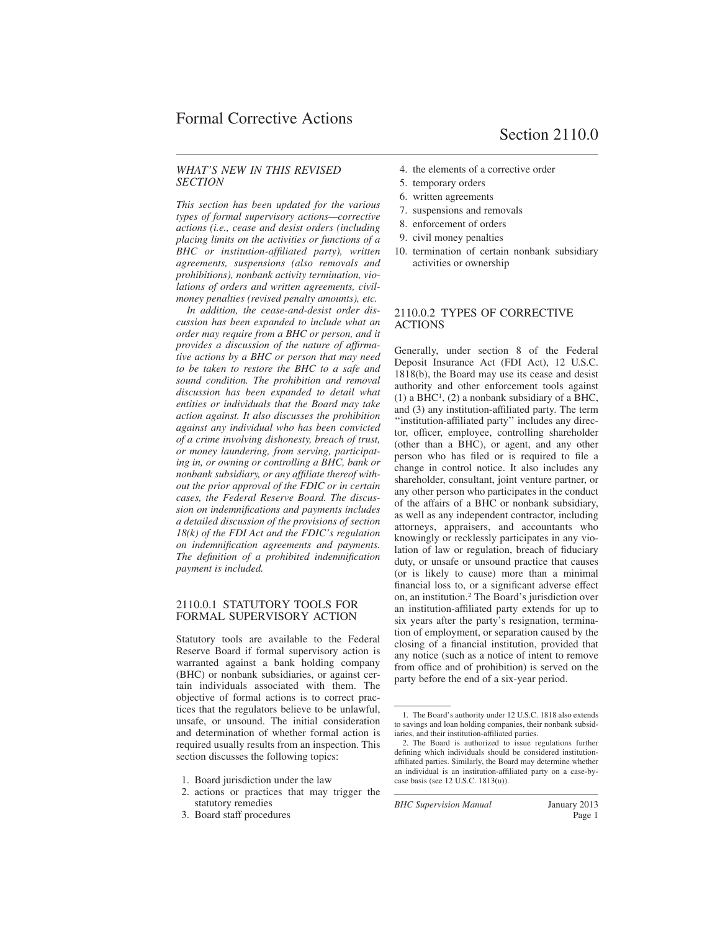### *WHAT'S NEW IN THIS REVISED SECTION*

*This section has been updated for the various types of formal supervisory actions—corrective actions (i.e., cease and desist orders (including placing limits on the activities or functions of a BHC or institution-affiliated party), written agreements, suspensions (also removals and prohibitions), nonbank activity termination, violations of orders and written agreements, civilmoney penalties (revised penalty amounts), etc.*

*In addition, the cease-and-desist order discussion has been expanded to include what an order may require from a BHC or person, and it provides a discussion of the nature of affirmative actions by a BHC or person that may need to be taken to restore the BHC to a safe and sound condition. The prohibition and removal discussion has been expanded to detail what entities or individuals that the Board may take action against. It also discusses the prohibition against any individual who has been convicted of a crime involving dishonesty, breach of trust, or money laundering, from serving, participating in, or owning or controlling a BHC, bank or nonbank subsidiary, or any affiliate thereof without the prior approval of the FDIC or in certain cases, the Federal Reserve Board. The discussion on indemnifications and payments includes a detailed discussion of the provisions of section 18(k) of the FDI Act and the FDIC's regulation on indemnification agreements and payments. The definition of a prohibited indemnification payment is included.*

#### 2110.0.1 STATUTORY TOOLS FOR FORMAL SUPERVISORY ACTION

Statutory tools are available to the Federal Reserve Board if formal supervisory action is warranted against a bank holding company (BHC) or nonbank subsidiaries, or against certain individuals associated with them. The objective of formal actions is to correct practices that the regulators believe to be unlawful, unsafe, or unsound. The initial consideration and determination of whether formal action is required usually results from an inspection. This section discusses the following topics:

- 1. Board jurisdiction under the law
- 2. actions or practices that may trigger the statutory remedies
- 3. Board staff procedures
- 4. the elements of a corrective order
- 5. temporary orders
- 6. written agreements
- 7. suspensions and removals
- 8. enforcement of orders
- 9. civil money penalties
- 10. termination of certain nonbank subsidiary activities or ownership

### 2110.0.2 TYPES OF CORRECTIVE ACTIONS

Generally, under section 8 of the Federal Deposit Insurance Act (FDI Act), 12 U.S.C. 1818(b), the Board may use its cease and desist authority and other enforcement tools against  $(1)$  a BHC<sup>1</sup>,  $(2)$  a nonbank subsidiary of a BHC, and (3) any institution-affiliated party. The term ''institution-affiliated party'' includes any director, officer, employee, controlling shareholder (other than a BHC), or agent, and any other person who has filed or is required to file a change in control notice. It also includes any shareholder, consultant, joint venture partner, or any other person who participates in the conduct of the affairs of a BHC or nonbank subsidiary, as well as any independent contractor, including attorneys, appraisers, and accountants who knowingly or recklessly participates in any violation of law or regulation, breach of fiduciary duty, or unsafe or unsound practice that causes (or is likely to cause) more than a minimal financial loss to, or a significant adverse effect on, an institution.<sup>2</sup> The Board's jurisdiction over an institution-affiliated party extends for up to six years after the party's resignation, termination of employment, or separation caused by the closing of a financial institution, provided that any notice (such as a notice of intent to remove from office and of prohibition) is served on the party before the end of a six-year period.

<sup>1.</sup> The Board's authority under 12 U.S.C. 1818 also extends to savings and loan holding companies, their nonbank subsidiaries, and their institution-affiliated parties.

<sup>2.</sup> The Board is authorized to issue regulations further defining which individuals should be considered institutionaffiliated parties. Similarly, the Board may determine whether an individual is an institution-affiliated party on a case-bycase basis (see 12 U.S.C. 1813(u)).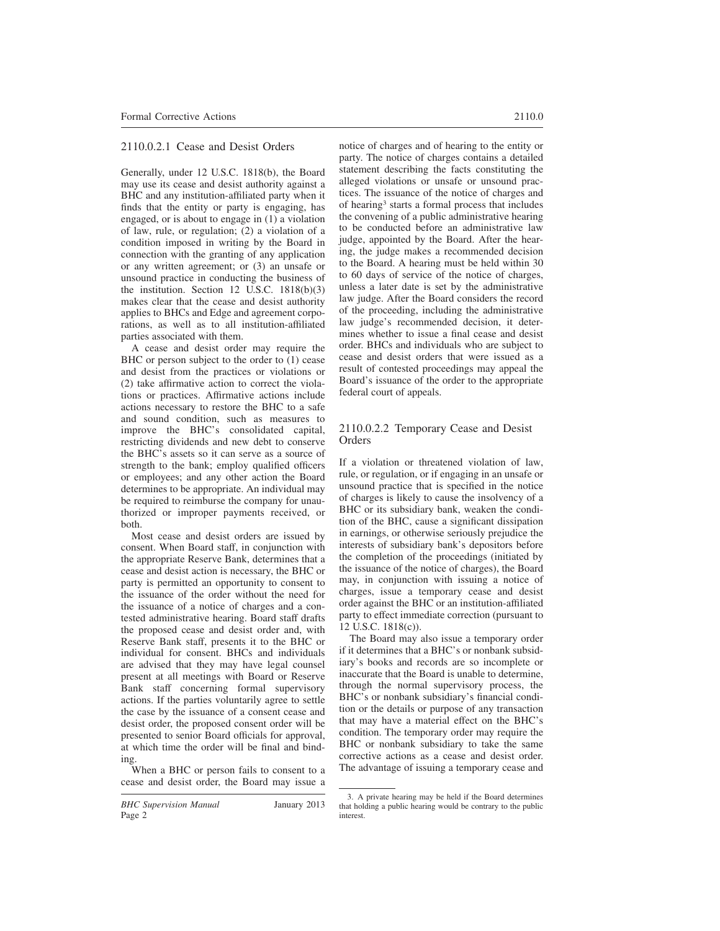# 2110.0.2.1 Cease and Desist Orders

Generally, under 12 U.S.C. 1818(b), the Board may use its cease and desist authority against a BHC and any institution-affiliated party when it finds that the entity or party is engaging, has engaged, or is about to engage in (1) a violation of law, rule, or regulation; (2) a violation of a condition imposed in writing by the Board in connection with the granting of any application or any written agreement; or (3) an unsafe or unsound practice in conducting the business of the institution. Section 12 U.S.C. 1818(b)(3) makes clear that the cease and desist authority applies to BHCs and Edge and agreement corporations, as well as to all institution-affiliated parties associated with them.

A cease and desist order may require the BHC or person subject to the order to (1) cease and desist from the practices or violations or (2) take affirmative action to correct the violations or practices. Affirmative actions include actions necessary to restore the BHC to a safe and sound condition, such as measures to improve the BHC's consolidated capital, restricting dividends and new debt to conserve the BHC's assets so it can serve as a source of strength to the bank; employ qualified officers or employees; and any other action the Board determines to be appropriate. An individual may be required to reimburse the company for unauthorized or improper payments received, or both.

Most cease and desist orders are issued by consent. When Board staff, in conjunction with the appropriate Reserve Bank, determines that a cease and desist action is necessary, the BHC or party is permitted an opportunity to consent to the issuance of the order without the need for the issuance of a notice of charges and a contested administrative hearing. Board staff drafts the proposed cease and desist order and, with Reserve Bank staff, presents it to the BHC or individual for consent. BHCs and individuals are advised that they may have legal counsel present at all meetings with Board or Reserve Bank staff concerning formal supervisory actions. If the parties voluntarily agree to settle the case by the issuance of a consent cease and desist order, the proposed consent order will be presented to senior Board officials for approval, at which time the order will be final and binding.

When a BHC or person fails to consent to a cease and desist order, the Board may issue a notice of charges and of hearing to the entity or party. The notice of charges contains a detailed statement describing the facts constituting the alleged violations or unsafe or unsound practices. The issuance of the notice of charges and of hearing<sup>3</sup> starts a formal process that includes the convening of a public administrative hearing to be conducted before an administrative law judge, appointed by the Board. After the hearing, the judge makes a recommended decision to the Board. A hearing must be held within 30 to 60 days of service of the notice of charges, unless a later date is set by the administrative law judge. After the Board considers the record of the proceeding, including the administrative law judge's recommended decision, it determines whether to issue a final cease and desist order. BHCs and individuals who are subject to cease and desist orders that were issued as a result of contested proceedings may appeal the Board's issuance of the order to the appropriate federal court of appeals.

# 2110.0.2.2 Temporary Cease and Desist **Orders**

If a violation or threatened violation of law, rule, or regulation, or if engaging in an unsafe or unsound practice that is specified in the notice of charges is likely to cause the insolvency of a BHC or its subsidiary bank, weaken the condition of the BHC, cause a significant dissipation in earnings, or otherwise seriously prejudice the interests of subsidiary bank's depositors before the completion of the proceedings (initiated by the issuance of the notice of charges), the Board may, in conjunction with issuing a notice of charges, issue a temporary cease and desist order against the BHC or an institution-affiliated party to effect immediate correction (pursuant to 12 U.S.C. 1818(c)).

The Board may also issue a temporary order if it determines that a BHC's or nonbank subsidiary's books and records are so incomplete or inaccurate that the Board is unable to determine, through the normal supervisory process, the BHC's or nonbank subsidiary's financial condition or the details or purpose of any transaction that may have a material effect on the BHC's condition. The temporary order may require the BHC or nonbank subsidiary to take the same corrective actions as a cease and desist order. The advantage of issuing a temporary cease and

<sup>3.</sup> A private hearing may be held if the Board determines that holding a public hearing would be contrary to the public interest.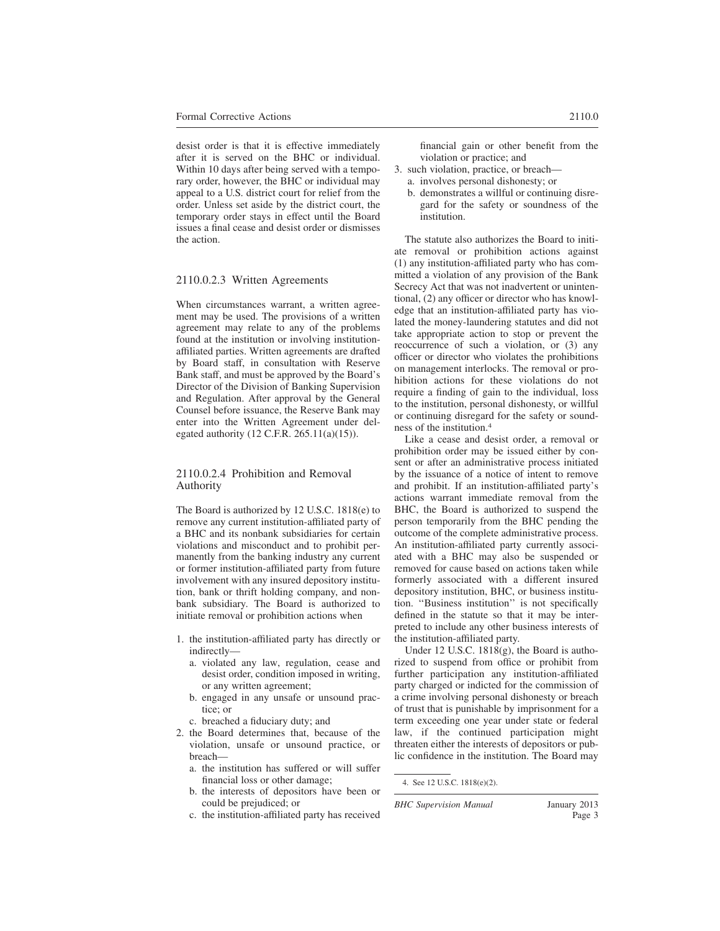desist order is that it is effective immediately after it is served on the BHC or individual. Within 10 days after being served with a temporary order, however, the BHC or individual may appeal to a U.S. district court for relief from the order. Unless set aside by the district court, the temporary order stays in effect until the Board issues a final cease and desist order or dismisses the action.

### 2110.0.2.3 Written Agreements

When circumstances warrant, a written agreement may be used. The provisions of a written agreement may relate to any of the problems found at the institution or involving institutionaffiliated parties. Written agreements are drafted by Board staff, in consultation with Reserve Bank staff, and must be approved by the Board's Director of the Division of Banking Supervision and Regulation. After approval by the General Counsel before issuance, the Reserve Bank may enter into the Written Agreement under delegated authority (12 C.F.R. 265.11(a)(15)).

#### 2110.0.2.4 Prohibition and Removal Authority

The Board is authorized by 12 U.S.C. 1818(e) to remove any current institution-affiliated party of a BHC and its nonbank subsidiaries for certain violations and misconduct and to prohibit permanently from the banking industry any current or former institution-affiliated party from future involvement with any insured depository institution, bank or thrift holding company, and nonbank subsidiary. The Board is authorized to initiate removal or prohibition actions when

- 1. the institution-affiliated party has directly or indirectly
	- a. violated any law, regulation, cease and desist order, condition imposed in writing, or any written agreement;
	- b. engaged in any unsafe or unsound practice; or
	- c. breached a fiduciary duty; and
- 2. the Board determines that, because of the violation, unsafe or unsound practice, or breach
	- a. the institution has suffered or will suffer financial loss or other damage;
	- b. the interests of depositors have been or could be prejudiced; or
	- c. the institution-affiliated party has received

financial gain or other benefit from the violation or practice; and

- 3. such violation, practice, or breach
	- a. involves personal dishonesty; or
	- b. demonstrates a willful or continuing disregard for the safety or soundness of the institution.

The statute also authorizes the Board to initiate removal or prohibition actions against (1) any institution-affiliated party who has committed a violation of any provision of the Bank Secrecy Act that was not inadvertent or unintentional, (2) any officer or director who has knowledge that an institution-affiliated party has violated the money-laundering statutes and did not take appropriate action to stop or prevent the reoccurrence of such a violation, or (3) any officer or director who violates the prohibitions on management interlocks. The removal or prohibition actions for these violations do not require a finding of gain to the individual, loss to the institution, personal dishonesty, or willful or continuing disregard for the safety or soundness of the institution.<sup>4</sup>

Like a cease and desist order, a removal or prohibition order may be issued either by consent or after an administrative process initiated by the issuance of a notice of intent to remove and prohibit. If an institution-affiliated party's actions warrant immediate removal from the BHC, the Board is authorized to suspend the person temporarily from the BHC pending the outcome of the complete administrative process. An institution-affiliated party currently associated with a BHC may also be suspended or removed for cause based on actions taken while formerly associated with a different insured depository institution, BHC, or business institution. ''Business institution'' is not specifically defined in the statute so that it may be interpreted to include any other business interests of the institution-affiliated party.

Under 12 U.S.C. 1818(g), the Board is authorized to suspend from office or prohibit from further participation any institution-affiliated party charged or indicted for the commission of a crime involving personal dishonesty or breach of trust that is punishable by imprisonment for a term exceeding one year under state or federal law, if the continued participation might threaten either the interests of depositors or public confidence in the institution. The Board may

<sup>4.</sup> See 12 U.S.C. 1818(e)(2).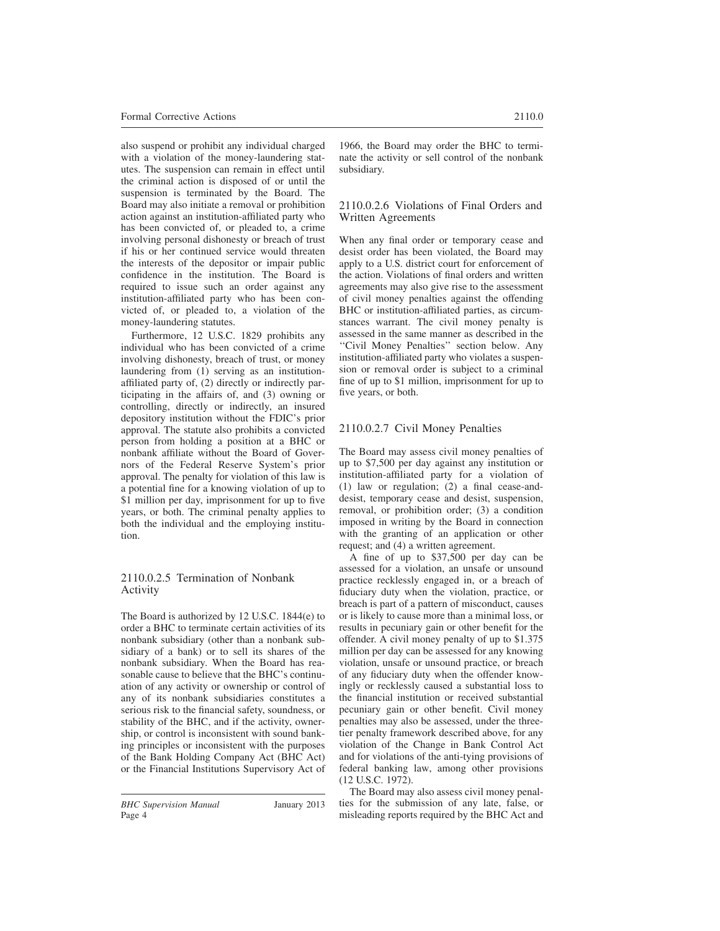also suspend or prohibit any individual charged with a violation of the money-laundering statutes. The suspension can remain in effect until the criminal action is disposed of or until the suspension is terminated by the Board. The Board may also initiate a removal or prohibition action against an institution-affiliated party who has been convicted of, or pleaded to, a crime involving personal dishonesty or breach of trust if his or her continued service would threaten the interests of the depositor or impair public confidence in the institution. The Board is required to issue such an order against any institution-affiliated party who has been convicted of, or pleaded to, a violation of the money-laundering statutes.

Furthermore, 12 U.S.C. 1829 prohibits any individual who has been convicted of a crime involving dishonesty, breach of trust, or money laundering from (1) serving as an institutionaffiliated party of, (2) directly or indirectly participating in the affairs of, and (3) owning or controlling, directly or indirectly, an insured depository institution without the FDIC's prior approval. The statute also prohibits a convicted person from holding a position at a BHC or nonbank affiliate without the Board of Governors of the Federal Reserve System's prior approval. The penalty for violation of this law is a potential fine for a knowing violation of up to \$1 million per day, imprisonment for up to five years, or both. The criminal penalty applies to both the individual and the employing institution.

### 2110.0.2.5 Termination of Nonbank Activity

The Board is authorized by 12 U.S.C. 1844(e) to order a BHC to terminate certain activities of its nonbank subsidiary (other than a nonbank subsidiary of a bank) or to sell its shares of the nonbank subsidiary. When the Board has reasonable cause to believe that the BHC's continuation of any activity or ownership or control of any of its nonbank subsidiaries constitutes a serious risk to the financial safety, soundness, or stability of the BHC, and if the activity, ownership, or control is inconsistent with sound banking principles or inconsistent with the purposes of the Bank Holding Company Act (BHC Act) or the Financial Institutions Supervisory Act of

### 2110.0.2.6 Violations of Final Orders and Written Agreements

When any final order or temporary cease and desist order has been violated, the Board may apply to a U.S. district court for enforcement of the action. Violations of final orders and written agreements may also give rise to the assessment of civil money penalties against the offending BHC or institution-affiliated parties, as circumstances warrant. The civil money penalty is assessed in the same manner as described in the ''Civil Money Penalties'' section below. Any institution-affiliated party who violates a suspension or removal order is subject to a criminal fine of up to \$1 million, imprisonment for up to five years, or both.

# 2110.0.2.7 Civil Money Penalties

The Board may assess civil money penalties of up to \$7,500 per day against any institution or institution-affiliated party for a violation of (1) law or regulation; (2) a final cease-anddesist, temporary cease and desist, suspension, removal, or prohibition order; (3) a condition imposed in writing by the Board in connection with the granting of an application or other request; and (4) a written agreement.

A fine of up to \$37,500 per day can be assessed for a violation, an unsafe or unsound practice recklessly engaged in, or a breach of fiduciary duty when the violation, practice, or breach is part of a pattern of misconduct, causes or is likely to cause more than a minimal loss, or results in pecuniary gain or other benefit for the offender. A civil money penalty of up to \$1.375 million per day can be assessed for any knowing violation, unsafe or unsound practice, or breach of any fiduciary duty when the offender knowingly or recklessly caused a substantial loss to the financial institution or received substantial pecuniary gain or other benefit. Civil money penalties may also be assessed, under the threetier penalty framework described above, for any violation of the Change in Bank Control Act and for violations of the anti-tying provisions of federal banking law, among other provisions (12 U.S.C. 1972).

The Board may also assess civil money penalties for the submission of any late, false, or misleading reports required by the BHC Act and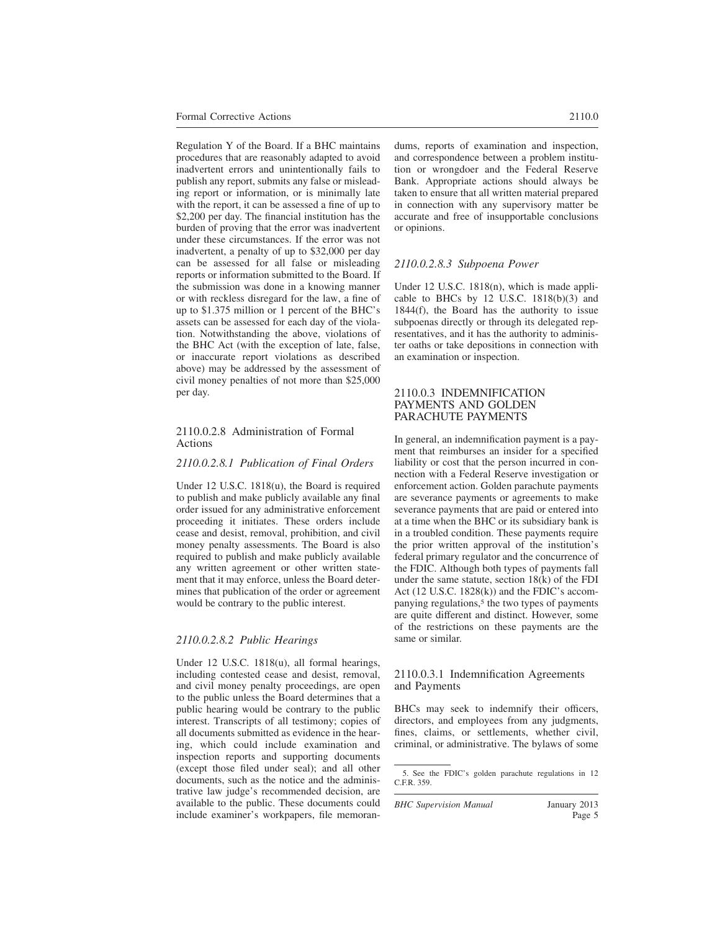Regulation Y of the Board. If a BHC maintains procedures that are reasonably adapted to avoid inadvertent errors and unintentionally fails to publish any report, submits any false or misleading report or information, or is minimally late with the report, it can be assessed a fine of up to \$2,200 per day. The financial institution has the burden of proving that the error was inadvertent under these circumstances. If the error was not inadvertent, a penalty of up to \$32,000 per day can be assessed for all false or misleading reports or information submitted to the Board. If the submission was done in a knowing manner or with reckless disregard for the law, a fine of up to \$1.375 million or 1 percent of the BHC's assets can be assessed for each day of the violation. Notwithstanding the above, violations of the BHC Act (with the exception of late, false, or inaccurate report violations as described above) may be addressed by the assessment of civil money penalties of not more than \$25,000 per day.

### 2110.0.2.8 Administration of Formal Actions

#### *2110.0.2.8.1 Publication of Final Orders*

Under 12 U.S.C. 1818(u), the Board is required to publish and make publicly available any final order issued for any administrative enforcement proceeding it initiates. These orders include cease and desist, removal, prohibition, and civil money penalty assessments. The Board is also required to publish and make publicly available any written agreement or other written statement that it may enforce, unless the Board determines that publication of the order or agreement would be contrary to the public interest.

#### *2110.0.2.8.2 Public Hearings*

Under 12 U.S.C. 1818(u), all formal hearings, including contested cease and desist, removal, and civil money penalty proceedings, are open to the public unless the Board determines that a public hearing would be contrary to the public interest. Transcripts of all testimony; copies of all documents submitted as evidence in the hearing, which could include examination and inspection reports and supporting documents (except those filed under seal); and all other documents, such as the notice and the administrative law judge's recommended decision, are available to the public. These documents could include examiner's workpapers, file memorandums, reports of examination and inspection, and correspondence between a problem institution or wrongdoer and the Federal Reserve Bank. Appropriate actions should always be taken to ensure that all written material prepared in connection with any supervisory matter be accurate and free of insupportable conclusions or opinions.

### *2110.0.2.8.3 Subpoena Power*

Under 12 U.S.C. 1818(n), which is made applicable to BHCs by 12 U.S.C. 1818(b)(3) and 1844(f), the Board has the authority to issue subpoenas directly or through its delegated representatives, and it has the authority to administer oaths or take depositions in connection with an examination or inspection.

#### 2110.0.3 INDEMNIFICATION PAYMENTS AND GOLDEN PARACHUTE PAYMENTS

In general, an indemnification payment is a payment that reimburses an insider for a specified liability or cost that the person incurred in connection with a Federal Reserve investigation or enforcement action. Golden parachute payments are severance payments or agreements to make severance payments that are paid or entered into at a time when the BHC or its subsidiary bank is in a troubled condition. These payments require the prior written approval of the institution's federal primary regulator and the concurrence of the FDIC. Although both types of payments fall under the same statute, section 18(k) of the FDI Act (12 U.S.C. 1828(k)) and the FDIC's accompanying regulations,<sup>5</sup> the two types of payments are quite different and distinct. However, some of the restrictions on these payments are the same or similar.

#### 2110.0.3.1 Indemnification Agreements and Payments

BHCs may seek to indemnify their officers, directors, and employees from any judgments, fines, claims, or settlements, whether civil, criminal, or administrative. The bylaws of some

<sup>5.</sup> See the FDIC's golden parachute regulations in 12 C.F.R. 359.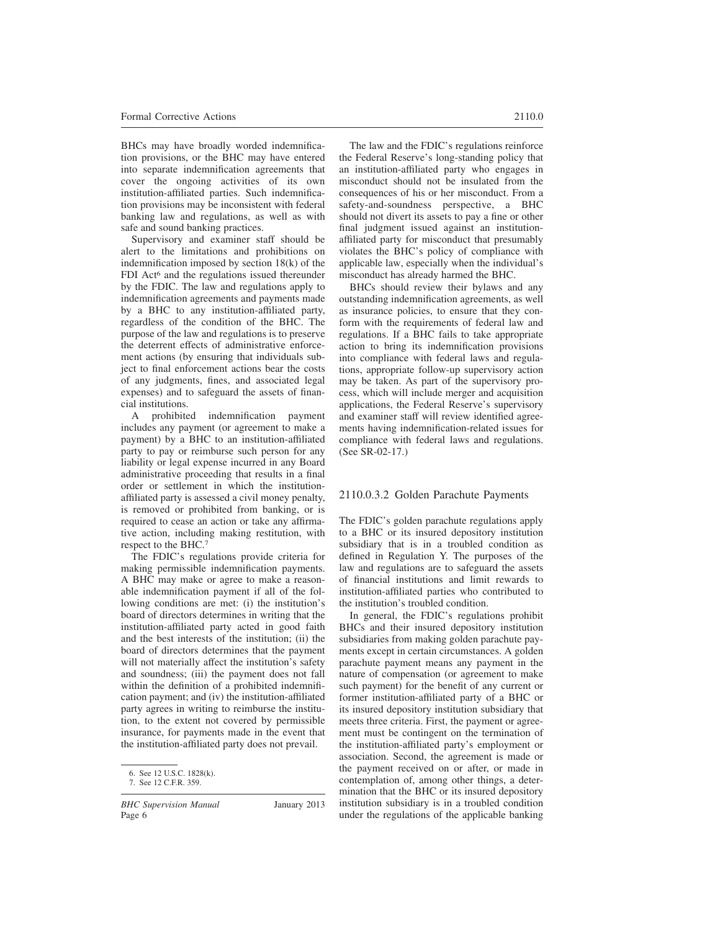BHCs may have broadly worded indemnification provisions, or the BHC may have entered into separate indemnification agreements that cover the ongoing activities of its own institution-affiliated parties. Such indemnification provisions may be inconsistent with federal banking law and regulations, as well as with safe and sound banking practices.

Supervisory and examiner staff should be alert to the limitations and prohibitions on indemnification imposed by section 18(k) of the FDI Act<sup>6</sup> and the regulations issued thereunder by the FDIC. The law and regulations apply to indemnification agreements and payments made by a BHC to any institution-affiliated party, regardless of the condition of the BHC. The purpose of the law and regulations is to preserve the deterrent effects of administrative enforcement actions (by ensuring that individuals subject to final enforcement actions bear the costs of any judgments, fines, and associated legal expenses) and to safeguard the assets of financial institutions.

A prohibited indemnification payment includes any payment (or agreement to make a payment) by a BHC to an institution-affiliated party to pay or reimburse such person for any liability or legal expense incurred in any Board administrative proceeding that results in a final order or settlement in which the institutionaffiliated party is assessed a civil money penalty, is removed or prohibited from banking, or is required to cease an action or take any affirmative action, including making restitution, with respect to the BHC.<sup>7</sup>

The FDIC's regulations provide criteria for making permissible indemnification payments. A BHC may make or agree to make a reasonable indemnification payment if all of the following conditions are met: (i) the institution's board of directors determines in writing that the institution-affiliated party acted in good faith and the best interests of the institution; (ii) the board of directors determines that the payment will not materially affect the institution's safety and soundness; (iii) the payment does not fall within the definition of a prohibited indemnification payment; and (iv) the institution-affiliated party agrees in writing to reimburse the institution, to the extent not covered by permissible insurance, for payments made in the event that the institution-affiliated party does not prevail.

*BHC Supervision Manual* January 2013 Page 6

The law and the FDIC's regulations reinforce the Federal Reserve's long-standing policy that an institution-affiliated party who engages in misconduct should not be insulated from the consequences of his or her misconduct. From a safety-and-soundness perspective, a BHC should not divert its assets to pay a fine or other final judgment issued against an institutionaffiliated party for misconduct that presumably violates the BHC's policy of compliance with applicable law, especially when the individual's misconduct has already harmed the BHC.

BHCs should review their bylaws and any outstanding indemnification agreements, as well as insurance policies, to ensure that they conform with the requirements of federal law and regulations. If a BHC fails to take appropriate action to bring its indemnification provisions into compliance with federal laws and regulations, appropriate follow-up supervisory action may be taken. As part of the supervisory process, which will include merger and acquisition applications, the Federal Reserve's supervisory and examiner staff will review identified agreements having indemnification-related issues for compliance with federal laws and regulations. (See SR-02-17.)

#### 2110.0.3.2 Golden Parachute Payments

The FDIC's golden parachute regulations apply to a BHC or its insured depository institution subsidiary that is in a troubled condition as defined in Regulation Y. The purposes of the law and regulations are to safeguard the assets of financial institutions and limit rewards to institution-affiliated parties who contributed to the institution's troubled condition.

In general, the FDIC's regulations prohibit BHCs and their insured depository institution subsidiaries from making golden parachute payments except in certain circumstances. A golden parachute payment means any payment in the nature of compensation (or agreement to make such payment) for the benefit of any current or former institution-affiliated party of a BHC or its insured depository institution subsidiary that meets three criteria. First, the payment or agreement must be contingent on the termination of the institution-affiliated party's employment or association. Second, the agreement is made or the payment received on or after, or made in contemplation of, among other things, a determination that the BHC or its insured depository institution subsidiary is in a troubled condition under the regulations of the applicable banking

<sup>6.</sup> See 12 U.S.C. 1828(k).

<sup>7.</sup> See 12 C.F.R. 359.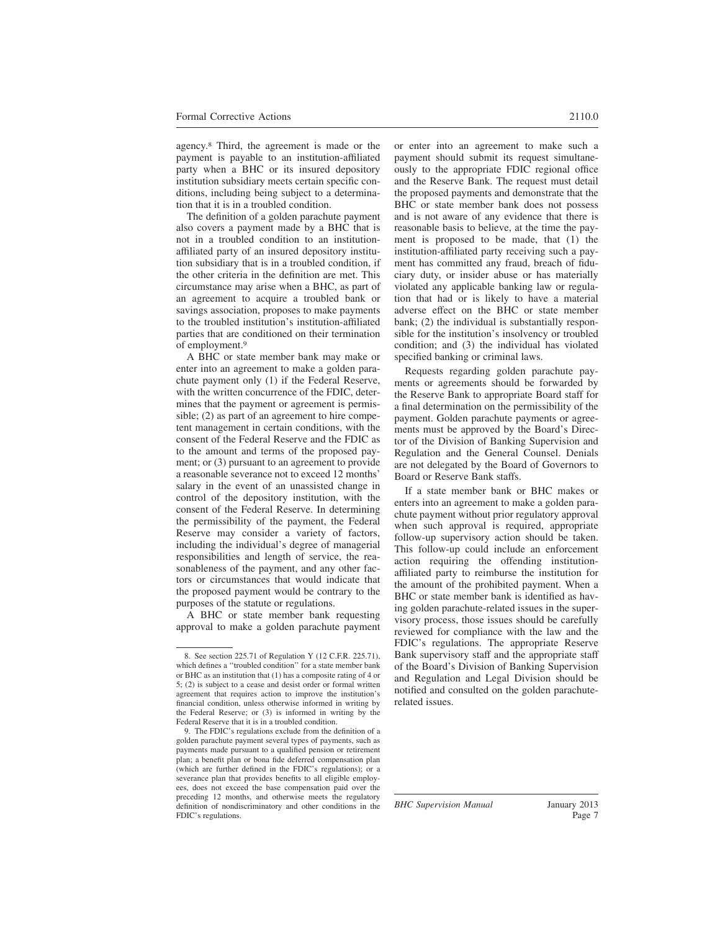agency.<sup>8</sup> Third, the agreement is made or the payment is payable to an institution-affiliated party when a BHC or its insured depository institution subsidiary meets certain specific conditions, including being subject to a determination that it is in a troubled condition.

The definition of a golden parachute payment also covers a payment made by a BHC that is not in a troubled condition to an institutionaffiliated party of an insured depository institution subsidiary that is in a troubled condition, if the other criteria in the definition are met. This circumstance may arise when a BHC, as part of an agreement to acquire a troubled bank or savings association, proposes to make payments to the troubled institution's institution-affiliated parties that are conditioned on their termination of employment.<sup>9</sup>

A BHC or state member bank may make or enter into an agreement to make a golden parachute payment only (1) if the Federal Reserve, with the written concurrence of the FDIC, determines that the payment or agreement is permissible; (2) as part of an agreement to hire competent management in certain conditions, with the consent of the Federal Reserve and the FDIC as to the amount and terms of the proposed payment; or (3) pursuant to an agreement to provide a reasonable severance not to exceed 12 months' salary in the event of an unassisted change in control of the depository institution, with the consent of the Federal Reserve. In determining the permissibility of the payment, the Federal Reserve may consider a variety of factors, including the individual's degree of managerial responsibilities and length of service, the reasonableness of the payment, and any other factors or circumstances that would indicate that the proposed payment would be contrary to the purposes of the statute or regulations.

A BHC or state member bank requesting approval to make a golden parachute payment or enter into an agreement to make such a payment should submit its request simultaneously to the appropriate FDIC regional office and the Reserve Bank. The request must detail the proposed payments and demonstrate that the BHC or state member bank does not possess and is not aware of any evidence that there is reasonable basis to believe, at the time the payment is proposed to be made, that (1) the institution-affiliated party receiving such a payment has committed any fraud, breach of fiduciary duty, or insider abuse or has materially violated any applicable banking law or regulation that had or is likely to have a material adverse effect on the BHC or state member bank; (2) the individual is substantially responsible for the institution's insolvency or troubled condition; and (3) the individual has violated specified banking or criminal laws.

Requests regarding golden parachute payments or agreements should be forwarded by the Reserve Bank to appropriate Board staff for a final determination on the permissibility of the payment. Golden parachute payments or agreements must be approved by the Board's Director of the Division of Banking Supervision and Regulation and the General Counsel. Denials are not delegated by the Board of Governors to Board or Reserve Bank staffs.

If a state member bank or BHC makes or enters into an agreement to make a golden parachute payment without prior regulatory approval when such approval is required, appropriate follow-up supervisory action should be taken. This follow-up could include an enforcement action requiring the offending institutionaffiliated party to reimburse the institution for the amount of the prohibited payment. When a BHC or state member bank is identified as having golden parachute-related issues in the supervisory process, those issues should be carefully reviewed for compliance with the law and the FDIC's regulations. The appropriate Reserve Bank supervisory staff and the appropriate staff of the Board's Division of Banking Supervision and Regulation and Legal Division should be notified and consulted on the golden parachuterelated issues.

<sup>8.</sup> See section 225.71 of Regulation Y (12 C.F.R. 225.71), which defines a ''troubled condition'' for a state member bank or BHC as an institution that (1) has a composite rating of 4 or 5; (2) is subject to a cease and desist order or formal written agreement that requires action to improve the institution's financial condition, unless otherwise informed in writing by the Federal Reserve; or (3) is informed in writing by the Federal Reserve that it is in a troubled condition.

<sup>9.</sup> The FDIC's regulations exclude from the definition of a golden parachute payment several types of payments, such as payments made pursuant to a qualified pension or retirement plan; a benefit plan or bona fide deferred compensation plan (which are further defined in the FDIC's regulations); or a severance plan that provides benefits to all eligible employees, does not exceed the base compensation paid over the preceding 12 months, and otherwise meets the regulatory definition of nondiscriminatory and other conditions in the FDIC's regulations.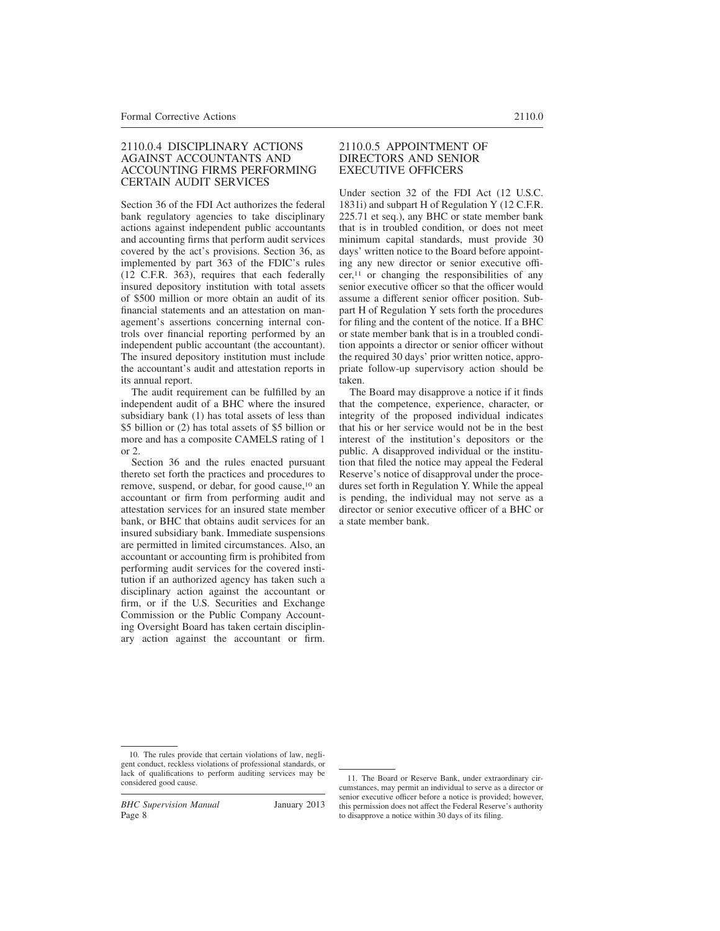### 2110.0.4 DISCIPLINARY ACTIONS AGAINST ACCOUNTANTS AND ACCOUNTING FIRMS PERFORMING CERTAIN AUDIT SERVICES

Section 36 of the FDI Act authorizes the federal bank regulatory agencies to take disciplinary actions against independent public accountants and accounting firms that perform audit services covered by the act's provisions. Section 36, as implemented by part 363 of the FDIC's rules (12 C.F.R. 363), requires that each federally insured depository institution with total assets of \$500 million or more obtain an audit of its financial statements and an attestation on management's assertions concerning internal controls over financial reporting performed by an independent public accountant (the accountant). The insured depository institution must include the accountant's audit and attestation reports in its annual report.

The audit requirement can be fulfilled by an independent audit of a BHC where the insured subsidiary bank (1) has total assets of less than \$5 billion or (2) has total assets of \$5 billion or more and has a composite CAMELS rating of 1  $\alpha r$  2.

Section 36 and the rules enacted pursuant thereto set forth the practices and procedures to remove, suspend, or debar, for good cause,<sup>10</sup> an accountant or firm from performing audit and attestation services for an insured state member bank, or BHC that obtains audit services for an insured subsidiary bank. Immediate suspensions are permitted in limited circumstances. Also, an accountant or accounting firm is prohibited from performing audit services for the covered institution if an authorized agency has taken such a disciplinary action against the accountant or firm, or if the U.S. Securities and Exchange Commission or the Public Company Accounting Oversight Board has taken certain disciplinary action against the accountant or firm.

### 2110.0.5 APPOINTMENT OF DIRECTORS AND SENIOR EXECUTIVE OFFICERS

Under section 32 of the FDI Act (12 U.S.C. 1831i) and subpart H of Regulation Y (12 C.F.R. 225.71 et seq.), any BHC or state member bank that is in troubled condition, or does not meet minimum capital standards, must provide 30 days' written notice to the Board before appointing any new director or senior executive officer,<sup>11</sup> or changing the responsibilities of any senior executive officer so that the officer would assume a different senior officer position. Subpart H of Regulation Y sets forth the procedures for filing and the content of the notice. If a BHC or state member bank that is in a troubled condition appoints a director or senior officer without the required 30 days' prior written notice, appropriate follow-up supervisory action should be taken.

The Board may disapprove a notice if it finds that the competence, experience, character, or integrity of the proposed individual indicates that his or her service would not be in the best interest of the institution's depositors or the public. A disapproved individual or the institution that filed the notice may appeal the Federal Reserve's notice of disapproval under the procedures set forth in Regulation Y. While the appeal is pending, the individual may not serve as a director or senior executive officer of a BHC or a state member bank.

<sup>10.</sup> The rules provide that certain violations of law, negligent conduct, reckless violations of professional standards, or lack of qualifications to perform auditing services may be rack or quantications to perform auditing services may be  $\frac{11}{2}$ . The Board or Reserve Bank, under extraordinary cir-<br>considered good cause.

cumstances, may permit an individual to serve as a director or senior executive officer before a notice is provided; however, this permission does not affect the Federal Reserve's authority to disapprove a notice within 30 days of its filing.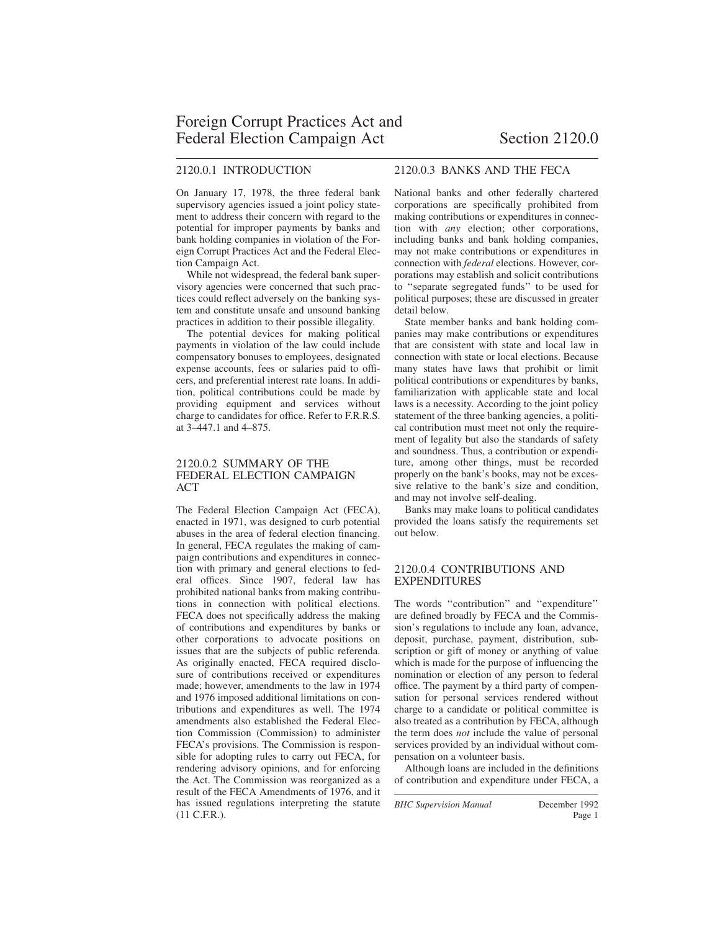### 2120.0.1 INTRODUCTION

On January 17, 1978, the three federal bank supervisory agencies issued a joint policy statement to address their concern with regard to the potential for improper payments by banks and bank holding companies in violation of the Foreign Corrupt Practices Act and the Federal Election Campaign Act.

While not widespread, the federal bank supervisory agencies were concerned that such practices could reflect adversely on the banking system and constitute unsafe and unsound banking practices in addition to their possible illegality.

The potential devices for making political payments in violation of the law could include compensatory bonuses to employees, designated expense accounts, fees or salaries paid to officers, and preferential interest rate loans. In addition, political contributions could be made by providing equipment and services without charge to candidates for office. Refer to F.R.R.S. at 3–447.1 and 4–875.

### 2120.0.2 SUMMARY OF THE FEDERAL ELECTION CAMPAIGN ACT

The Federal Election Campaign Act (FECA), enacted in 1971, was designed to curb potential abuses in the area of federal election financing. In general, FECA regulates the making of campaign contributions and expenditures in connection with primary and general elections to federal offices. Since 1907, federal law has prohibited national banks from making contributions in connection with political elections. FECA does not specifically address the making of contributions and expenditures by banks or other corporations to advocate positions on issues that are the subjects of public referenda. As originally enacted, FECA required disclosure of contributions received or expenditures made; however, amendments to the law in 1974 and 1976 imposed additional limitations on contributions and expenditures as well. The 1974 amendments also established the Federal Election Commission (Commission) to administer FECA's provisions. The Commission is responsible for adopting rules to carry out FECA, for rendering advisory opinions, and for enforcing the Act. The Commission was reorganized as a result of the FECA Amendments of 1976, and it has issued regulations interpreting the statute (11 C.F.R.).

## 2120.0.3 BANKS AND THE FECA

National banks and other federally chartered corporations are specifically prohibited from making contributions or expenditures in connection with *any* election; other corporations, including banks and bank holding companies, may not make contributions or expenditures in connection with *federal* elections. However, corporations may establish and solicit contributions to ''separate segregated funds'' to be used for political purposes; these are discussed in greater detail below.

State member banks and bank holding companies may make contributions or expenditures that are consistent with state and local law in connection with state or local elections. Because many states have laws that prohibit or limit political contributions or expenditures by banks, familiarization with applicable state and local laws is a necessity. According to the joint policy statement of the three banking agencies, a political contribution must meet not only the requirement of legality but also the standards of safety and soundness. Thus, a contribution or expenditure, among other things, must be recorded properly on the bank's books, may not be excessive relative to the bank's size and condition, and may not involve self-dealing.

Banks may make loans to political candidates provided the loans satisfy the requirements set out below.

### 2120.0.4 CONTRIBUTIONS AND EXPENDITURES

The words "contribution" and "expenditure" are defined broadly by FECA and the Commission's regulations to include any loan, advance, deposit, purchase, payment, distribution, subscription or gift of money or anything of value which is made for the purpose of influencing the nomination or election of any person to federal office. The payment by a third party of compensation for personal services rendered without charge to a candidate or political committee is also treated as a contribution by FECA, although the term does *not* include the value of personal services provided by an individual without compensation on a volunteer basis.

Although loans are included in the definitions of contribution and expenditure under FECA, a

*BHC Supervision Manual* December 1992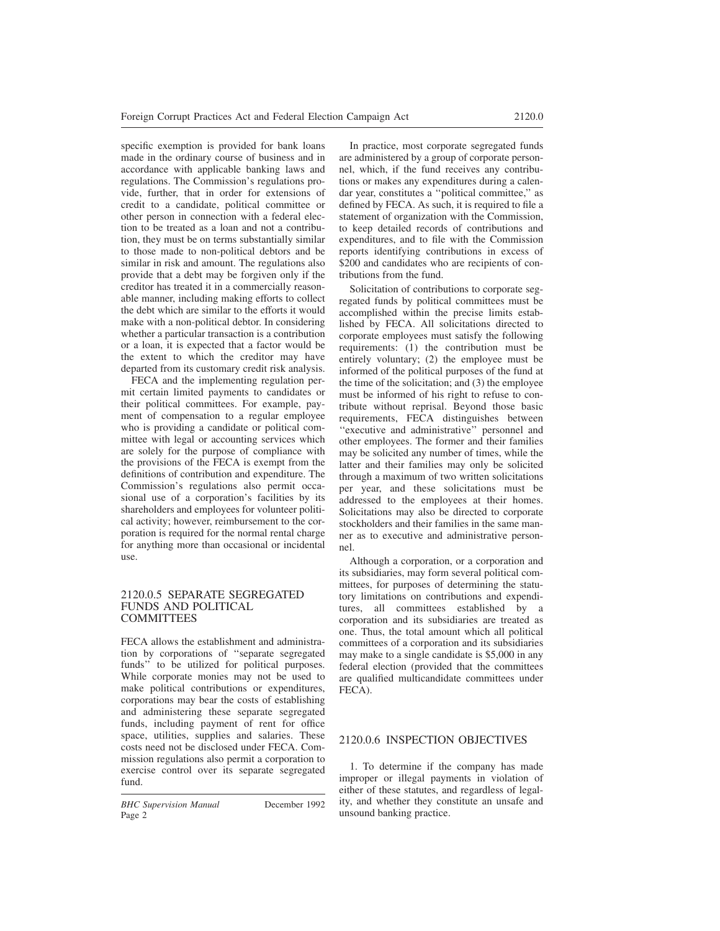specific exemption is provided for bank loans made in the ordinary course of business and in accordance with applicable banking laws and regulations. The Commission's regulations provide, further, that in order for extensions of credit to a candidate, political committee or other person in connection with a federal election to be treated as a loan and not a contribution, they must be on terms substantially similar to those made to non-political debtors and be similar in risk and amount. The regulations also provide that a debt may be forgiven only if the creditor has treated it in a commercially reasonable manner, including making efforts to collect the debt which are similar to the efforts it would make with a non-political debtor. In considering whether a particular transaction is a contribution or a loan, it is expected that a factor would be the extent to which the creditor may have departed from its customary credit risk analysis.

FECA and the implementing regulation permit certain limited payments to candidates or their political committees. For example, payment of compensation to a regular employee who is providing a candidate or political committee with legal or accounting services which are solely for the purpose of compliance with the provisions of the FECA is exempt from the definitions of contribution and expenditure. The Commission's regulations also permit occasional use of a corporation's facilities by its shareholders and employees for volunteer political activity; however, reimbursement to the corporation is required for the normal rental charge for anything more than occasional or incidental use.

#### 2120.0.5 SEPARATE SEGREGATED FUNDS AND POLITICAL **COMMITTEES**

FECA allows the establishment and administration by corporations of ''separate segregated funds'' to be utilized for political purposes. While corporate monies may not be used to make political contributions or expenditures, corporations may bear the costs of establishing and administering these separate segregated funds, including payment of rent for office space, utilities, supplies and salaries. These costs need not be disclosed under FECA. Commission regulations also permit a corporation to exercise control over its separate segregated fund.

*BHC Supervision Manual* December 1992 Page 2

In practice, most corporate segregated funds are administered by a group of corporate personnel, which, if the fund receives any contributions or makes any expenditures during a calendar year, constitutes a ''political committee,'' as defined by FECA. As such, it is required to file a statement of organization with the Commission, to keep detailed records of contributions and expenditures, and to file with the Commission reports identifying contributions in excess of \$200 and candidates who are recipients of contributions from the fund.

Solicitation of contributions to corporate segregated funds by political committees must be accomplished within the precise limits established by FECA. All solicitations directed to corporate employees must satisfy the following requirements: (1) the contribution must be entirely voluntary; (2) the employee must be informed of the political purposes of the fund at the time of the solicitation; and (3) the employee must be informed of his right to refuse to contribute without reprisal. Beyond those basic requirements, FECA distinguishes between "executive and administrative" personnel and other employees. The former and their families may be solicited any number of times, while the latter and their families may only be solicited through a maximum of two written solicitations per year, and these solicitations must be addressed to the employees at their homes. Solicitations may also be directed to corporate stockholders and their families in the same manner as to executive and administrative personnel.

Although a corporation, or a corporation and its subsidiaries, may form several political committees, for purposes of determining the statutory limitations on contributions and expenditures, all committees established by corporation and its subsidiaries are treated as one. Thus, the total amount which all political committees of a corporation and its subsidiaries may make to a single candidate is \$5,000 in any federal election (provided that the committees are qualified multicandidate committees under FECA).

### 2120.0.6 INSPECTION OBJECTIVES

1. To determine if the company has made improper or illegal payments in violation of either of these statutes, and regardless of legality, and whether they constitute an unsafe and unsound banking practice.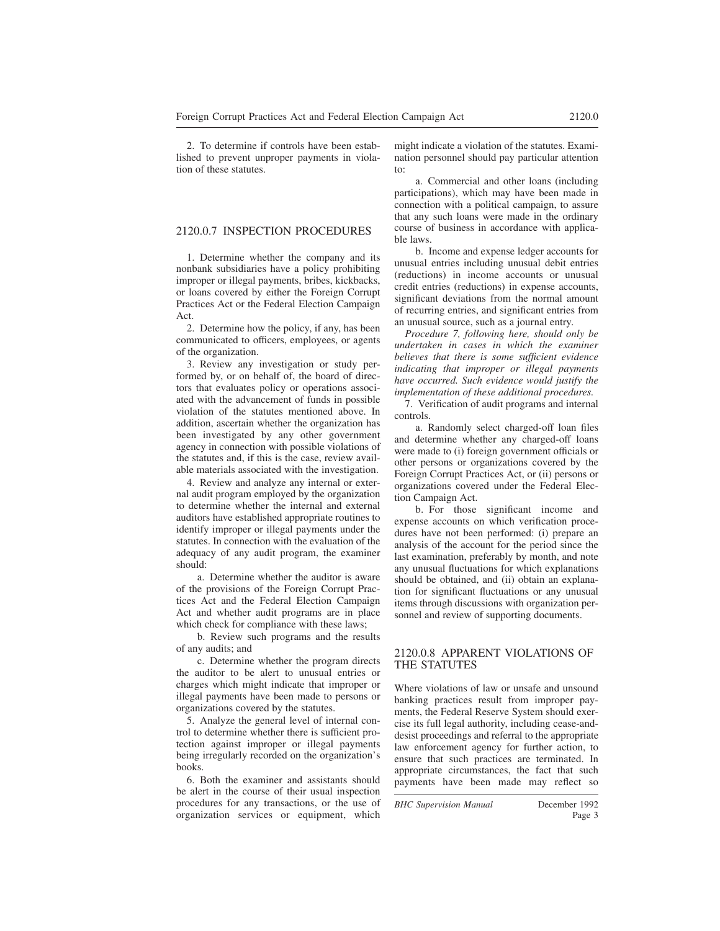2. To determine if controls have been established to prevent unproper payments in violation of these statutes.

#### 2120.0.7 INSPECTION PROCEDURES

1. Determine whether the company and its nonbank subsidiaries have a policy prohibiting improper or illegal payments, bribes, kickbacks, or loans covered by either the Foreign Corrupt Practices Act or the Federal Election Campaign Act.

2. Determine how the policy, if any, has been communicated to officers, employees, or agents of the organization.

3. Review any investigation or study performed by, or on behalf of, the board of directors that evaluates policy or operations associated with the advancement of funds in possible violation of the statutes mentioned above. In addition, ascertain whether the organization has been investigated by any other government agency in connection with possible violations of the statutes and, if this is the case, review available materials associated with the investigation.

4. Review and analyze any internal or external audit program employed by the organization to determine whether the internal and external auditors have established appropriate routines to identify improper or illegal payments under the statutes. In connection with the evaluation of the adequacy of any audit program, the examiner should:

a. Determine whether the auditor is aware of the provisions of the Foreign Corrupt Practices Act and the Federal Election Campaign Act and whether audit programs are in place which check for compliance with these laws;

b. Review such programs and the results of any audits; and

c. Determine whether the program directs the auditor to be alert to unusual entries or charges which might indicate that improper or illegal payments have been made to persons or organizations covered by the statutes.

5. Analyze the general level of internal control to determine whether there is sufficient protection against improper or illegal payments being irregularly recorded on the organization's books.

6. Both the examiner and assistants should be alert in the course of their usual inspection procedures for any transactions, or the use of organization services or equipment, which might indicate a violation of the statutes. Examination personnel should pay particular attention to:

a. Commercial and other loans (including participations), which may have been made in connection with a political campaign, to assure that any such loans were made in the ordinary course of business in accordance with applicable laws.

b. Income and expense ledger accounts for unusual entries including unusual debit entries (reductions) in income accounts or unusual credit entries (reductions) in expense accounts, significant deviations from the normal amount of recurring entries, and significant entries from an unusual source, such as a journal entry.

*Procedure 7, following here, should only be undertaken in cases in which the examiner believes that there is some sufficient evidence indicating that improper or illegal payments have occurred. Such evidence would justify the implementation of these additional procedures.*

7. Verification of audit programs and internal controls.

a. Randomly select charged-off loan files and determine whether any charged-off loans were made to (i) foreign government officials or other persons or organizations covered by the Foreign Corrupt Practices Act, or (ii) persons or organizations covered under the Federal Election Campaign Act.

b. For those significant income and expense accounts on which verification procedures have not been performed: (i) prepare an analysis of the account for the period since the last examination, preferably by month, and note any unusual fluctuations for which explanations should be obtained, and (ii) obtain an explanation for significant fluctuations or any unusual items through discussions with organization personnel and review of supporting documents.

#### 2120.0.8 APPARENT VIOLATIONS OF THE STATUTES

Where violations of law or unsafe and unsound banking practices result from improper payments, the Federal Reserve System should exercise its full legal authority, including cease-anddesist proceedings and referral to the appropriate law enforcement agency for further action, to ensure that such practices are terminated. In appropriate circumstances, the fact that such payments have been made may reflect so

*BHC Supervision Manual* December 1992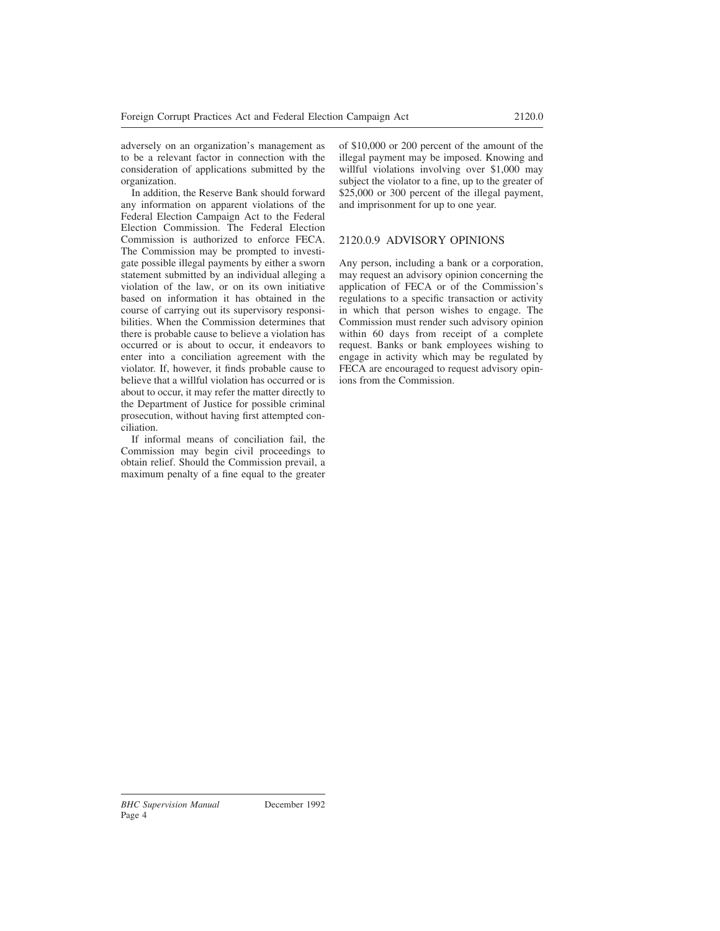adversely on an organization's management as to be a relevant factor in connection with the consideration of applications submitted by the organization.

In addition, the Reserve Bank should forward any information on apparent violations of the Federal Election Campaign Act to the Federal Election Commission. The Federal Election Commission is authorized to enforce FECA. The Commission may be prompted to investigate possible illegal payments by either a sworn statement submitted by an individual alleging a violation of the law, or on its own initiative based on information it has obtained in the course of carrying out its supervisory responsibilities. When the Commission determines that there is probable cause to believe a violation has occurred or is about to occur, it endeavors to enter into a conciliation agreement with the violator. If, however, it finds probable cause to believe that a willful violation has occurred or is about to occur, it may refer the matter directly to the Department of Justice for possible criminal prosecution, without having first attempted conciliation.

If informal means of conciliation fail, the Commission may begin civil proceedings to obtain relief. Should the Commission prevail, a maximum penalty of a fine equal to the greater of \$10,000 or 200 percent of the amount of the illegal payment may be imposed. Knowing and willful violations involving over \$1,000 may subject the violator to a fine, up to the greater of \$25,000 or 300 percent of the illegal payment, and imprisonment for up to one year.

# 2120.0.9 ADVISORY OPINIONS

Any person, including a bank or a corporation, may request an advisory opinion concerning the application of FECA or of the Commission's regulations to a specific transaction or activity in which that person wishes to engage. The Commission must render such advisory opinion within 60 days from receipt of a complete request. Banks or bank employees wishing to engage in activity which may be regulated by FECA are encouraged to request advisory opinions from the Commission.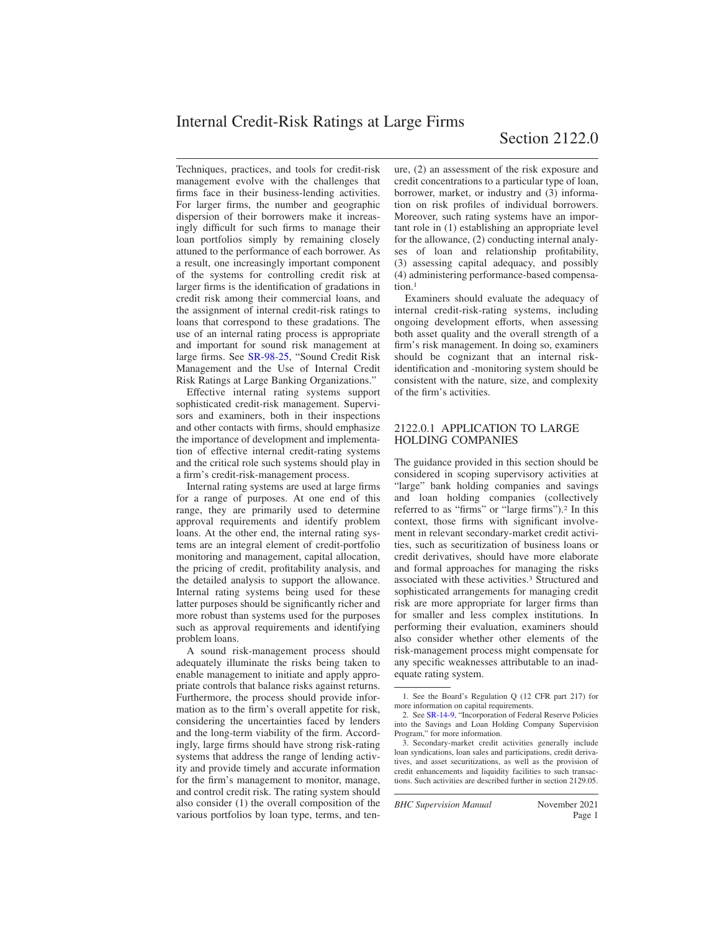Internal Credit-Risk Ratings at Large Firms

Techniques, practices, and tools for credit-risk management evolve with the challenges that firms face in their business-lending activities. For larger firms, the number and geographic dispersion of their borrowers make it increasingly difficult for such firms to manage their loan portfolios simply by remaining closely attuned to the performance of each borrower. As a result, one increasingly important component of the systems for controlling credit risk at larger firms is the identification of gradations in credit risk among their commercial loans, and the assignment of internal credit-risk ratings to loans that correspond to these gradations. The use of an internal rating process is appropriate and important for sound risk management at large firms. See [SR-98-25,](https://www.federalreserve.gov/boarddocs/srletters/1998/sr9825.htm) "Sound Credit Risk Management and the Use of Internal Credit Risk Ratings at Large Banking Organizations."

Effective internal rating systems support sophisticated credit-risk management. Supervisors and examiners, both in their inspections and other contacts with firms, should emphasize the importance of development and implementation of effective internal credit-rating systems and the critical role such systems should play in a firm's credit-risk-management process.

Internal rating systems are used at large firms for a range of purposes. At one end of this range, they are primarily used to determine approval requirements and identify problem loans. At the other end, the internal rating systems are an integral element of credit-portfolio monitoring and management, capital allocation, the pricing of credit, profitability analysis, and the detailed analysis to support the allowance. Internal rating systems being used for these latter purposes should be significantly richer and more robust than systems used for the purposes such as approval requirements and identifying problem loans.

A sound risk-management process should adequately illuminate the risks being taken to enable management to initiate and apply appropriate controls that balance risks against returns. Furthermore, the process should provide information as to the firm's overall appetite for risk, considering the uncertainties faced by lenders and the long-term viability of the firm. Accordingly, large firms should have strong risk-rating systems that address the range of lending activity and provide timely and accurate information for the firm's management to monitor, manage, and control credit risk. The rating system should also consider (1) the overall composition of the various portfolios by loan type, terms, and tenure, (2) an assessment of the risk exposure and credit concentrations to a particular type of loan, borrower, market, or industry and (3) information on risk profiles of individual borrowers. Moreover, such rating systems have an important role in (1) establishing an appropriate level for the allowance, (2) conducting internal analyses of loan and relationship profitability, (3) assessing capital adequacy, and possibly (4) administering performance-based compensation.<sup>1</sup>

Examiners should evaluate the adequacy of internal credit-risk-rating systems, including ongoing development efforts, when assessing both asset quality and the overall strength of a firm's risk management. In doing so, examiners should be cognizant that an internal riskidentification and -monitoring system should be consistent with the nature, size, and complexity of the firm's activities.

### 2122.0.1 APPLICATION TO LARGE HOLDING COMPANIES

The guidance provided in this section should be considered in scoping supervisory activities at "large" bank holding companies and savings and loan holding companies (collectively referred to as "firms" or "large firms").<sup>2</sup> In this context, those firms with significant involvement in relevant secondary-market credit activities, such as securitization of business loans or credit derivatives, should have more elaborate and formal approaches for managing the risks associated with these activities.<sup>3</sup> Structured and sophisticated arrangements for managing credit risk are more appropriate for larger firms than for smaller and less complex institutions. In performing their evaluation, examiners should also consider whether other elements of the risk-management process might compensate for any specific weaknesses attributable to an inadequate rating system.

*BHC Supervision Manual* November 2021

<sup>1.</sup> See the Board's Regulation Q (12 CFR part 217) for more information on capital requirements.

<sup>2.</sup> See [SR-14-9,](https://www.federalreserve.gov/supervisionreg/srletters/sr1409.pdf) "Incorporation of Federal Reserve Policies into the Savings and Loan Holding Company Supervision Program," for more information.

<sup>3.</sup> Secondary-market credit activities generally include loan syndications, loan sales and participations, credit derivatives, and asset securitizations, as well as the provision of credit enhancements and liquidity facilities to such transactions. Such activities are described further in section 2129.05.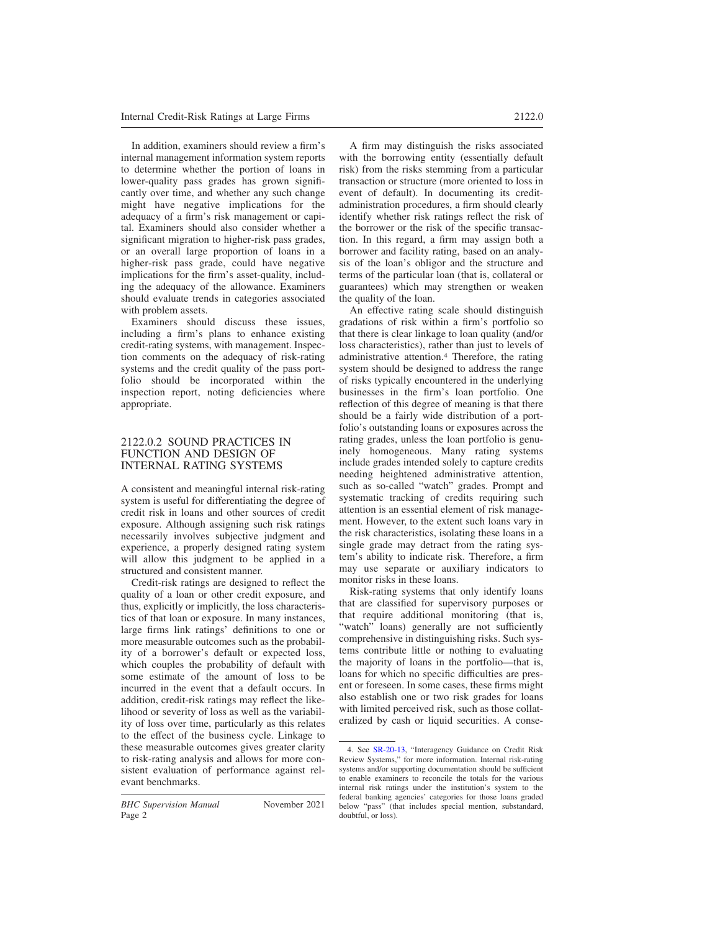In addition, examiners should review a firm's internal management information system reports to determine whether the portion of loans in lower-quality pass grades has grown significantly over time, and whether any such change might have negative implications for the adequacy of a firm's risk management or capital. Examiners should also consider whether a significant migration to higher-risk pass grades, or an overall large proportion of loans in a higher-risk pass grade, could have negative implications for the firm's asset-quality, including the adequacy of the allowance. Examiners should evaluate trends in categories associated with problem assets.

Examiners should discuss these issues, including a firm's plans to enhance existing credit-rating systems, with management. Inspection comments on the adequacy of risk-rating systems and the credit quality of the pass portfolio should be incorporated within the inspection report, noting deficiencies where appropriate.

#### 2122.0.2 SOUND PRACTICES IN FUNCTION AND DESIGN OF INTERNAL RATING SYSTEMS

A consistent and meaningful internal risk-rating system is useful for differentiating the degree of credit risk in loans and other sources of credit exposure. Although assigning such risk ratings necessarily involves subjective judgment and experience, a properly designed rating system will allow this judgment to be applied in a structured and consistent manner.

Credit-risk ratings are designed to reflect the quality of a loan or other credit exposure, and thus, explicitly or implicitly, the loss characteristics of that loan or exposure. In many instances, large firms link ratings' definitions to one or more measurable outcomes such as the probability of a borrower's default or expected loss, which couples the probability of default with some estimate of the amount of loss to be incurred in the event that a default occurs. In addition, credit-risk ratings may reflect the likelihood or severity of loss as well as the variability of loss over time, particularly as this relates to the effect of the business cycle. Linkage to these measurable outcomes gives greater clarity to risk-rating analysis and allows for more consistent evaluation of performance against relevant benchmarks.

A firm may distinguish the risks associated with the borrowing entity (essentially default risk) from the risks stemming from a particular transaction or structure (more oriented to loss in event of default). In documenting its creditadministration procedures, a firm should clearly identify whether risk ratings reflect the risk of the borrower or the risk of the specific transaction. In this regard, a firm may assign both a borrower and facility rating, based on an analysis of the loan's obligor and the structure and terms of the particular loan (that is, collateral or guarantees) which may strengthen or weaken the quality of the loan.

An effective rating scale should distinguish gradations of risk within a firm's portfolio so that there is clear linkage to loan quality (and/or loss characteristics), rather than just to levels of administrative attention.<sup>4</sup> Therefore, the rating system should be designed to address the range of risks typically encountered in the underlying businesses in the firm's loan portfolio. One reflection of this degree of meaning is that there should be a fairly wide distribution of a portfolio's outstanding loans or exposures across the rating grades, unless the loan portfolio is genuinely homogeneous. Many rating systems include grades intended solely to capture credits needing heightened administrative attention, such as so-called "watch" grades. Prompt and systematic tracking of credits requiring such attention is an essential element of risk management. However, to the extent such loans vary in the risk characteristics, isolating these loans in a single grade may detract from the rating system's ability to indicate risk. Therefore, a firm may use separate or auxiliary indicators to monitor risks in these loans.

Risk-rating systems that only identify loans that are classified for supervisory purposes or that require additional monitoring (that is, "watch" loans) generally are not sufficiently comprehensive in distinguishing risks. Such systems contribute little or nothing to evaluating the majority of loans in the portfolio—that is, loans for which no specific difficulties are present or foreseen. In some cases, these firms might also establish one or two risk grades for loans with limited perceived risk, such as those collateralized by cash or liquid securities. A conse-

<sup>4.</sup> See [SR-20-13,](https://www.federalreserve.gov/supervisionreg/srletters/SR2013.htm) "Interagency Guidance on Credit Risk Review Systems," for more information. Internal risk-rating systems and/or supporting documentation should be sufficient to enable examiners to reconcile the totals for the various internal risk ratings under the institution's system to the federal banking agencies' categories for those loans graded below "pass" (that includes special mention, substandard, doubtful, or loss).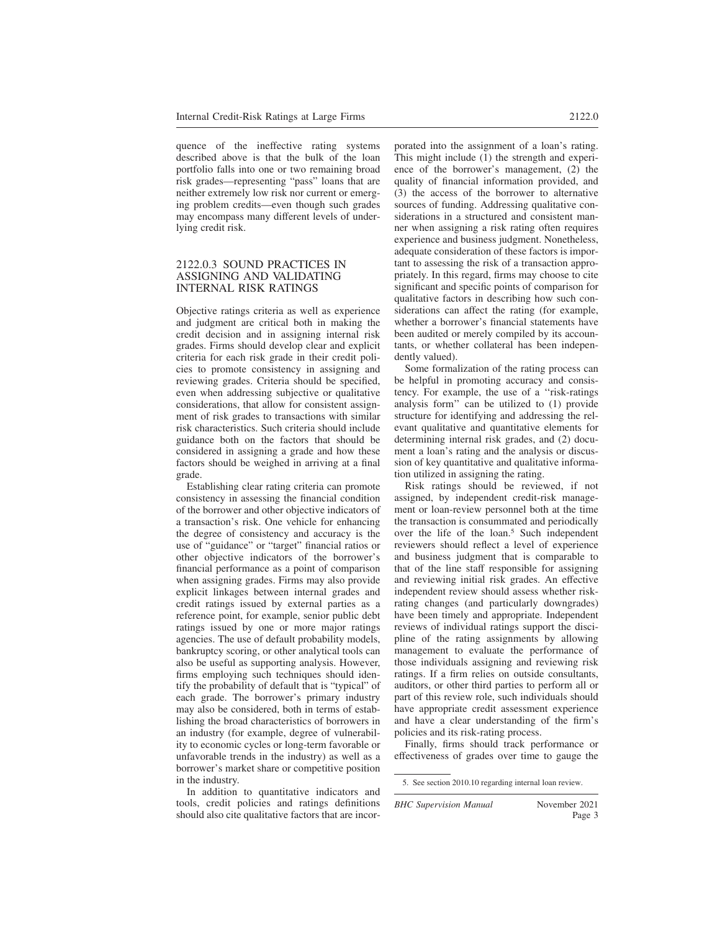quence of the ineffective rating systems described above is that the bulk of the loan portfolio falls into one or two remaining broad risk grades—representing "pass" loans that are neither extremely low risk nor current or emerging problem credits—even though such grades may encompass many different levels of underlying credit risk.

#### 2122.0.3 SOUND PRACTICES IN ASSIGNING AND VALIDATING INTERNAL RISK RATINGS

Objective ratings criteria as well as experience and judgment are critical both in making the credit decision and in assigning internal risk grades. Firms should develop clear and explicit criteria for each risk grade in their credit policies to promote consistency in assigning and reviewing grades. Criteria should be specified, even when addressing subjective or qualitative considerations, that allow for consistent assignment of risk grades to transactions with similar risk characteristics. Such criteria should include guidance both on the factors that should be considered in assigning a grade and how these factors should be weighed in arriving at a final grade.

Establishing clear rating criteria can promote consistency in assessing the financial condition of the borrower and other objective indicators of a transaction's risk. One vehicle for enhancing the degree of consistency and accuracy is the use of "guidance" or "target" financial ratios or other objective indicators of the borrower's financial performance as a point of comparison when assigning grades. Firms may also provide explicit linkages between internal grades and credit ratings issued by external parties as a reference point, for example, senior public debt ratings issued by one or more major ratings agencies. The use of default probability models, bankruptcy scoring, or other analytical tools can also be useful as supporting analysis. However, firms employing such techniques should identify the probability of default that is "typical" of each grade. The borrower's primary industry may also be considered, both in terms of establishing the broad characteristics of borrowers in an industry (for example, degree of vulnerability to economic cycles or long-term favorable or unfavorable trends in the industry) as well as a borrower's market share or competitive position in the industry.

In addition to quantitative indicators and tools, credit policies and ratings definitions should also cite qualitative factors that are incorporated into the assignment of a loan's rating. This might include (1) the strength and experience of the borrower's management, (2) the quality of financial information provided, and (3) the access of the borrower to alternative sources of funding. Addressing qualitative considerations in a structured and consistent manner when assigning a risk rating often requires experience and business judgment. Nonetheless, adequate consideration of these factors is important to assessing the risk of a transaction appropriately. In this regard, firms may choose to cite significant and specific points of comparison for qualitative factors in describing how such considerations can affect the rating (for example, whether a borrower's financial statements have been audited or merely compiled by its accountants, or whether collateral has been independently valued).

Some formalization of the rating process can be helpful in promoting accuracy and consistency. For example, the use of a ''risk-ratings analysis form'' can be utilized to (1) provide structure for identifying and addressing the relevant qualitative and quantitative elements for determining internal risk grades, and (2) document a loan's rating and the analysis or discussion of key quantitative and qualitative information utilized in assigning the rating.

Risk ratings should be reviewed, if not assigned, by independent credit-risk management or loan-review personnel both at the time the transaction is consummated and periodically over the life of the loan.<sup>5</sup> Such independent reviewers should reflect a level of experience and business judgment that is comparable to that of the line staff responsible for assigning and reviewing initial risk grades. An effective independent review should assess whether riskrating changes (and particularly downgrades) have been timely and appropriate. Independent reviews of individual ratings support the discipline of the rating assignments by allowing management to evaluate the performance of those individuals assigning and reviewing risk ratings. If a firm relies on outside consultants, auditors, or other third parties to perform all or part of this review role, such individuals should have appropriate credit assessment experience and have a clear understanding of the firm's policies and its risk-rating process.

Finally, firms should track performance or effectiveness of grades over time to gauge the

<sup>5.</sup> See section 2010.10 regarding internal loan review.